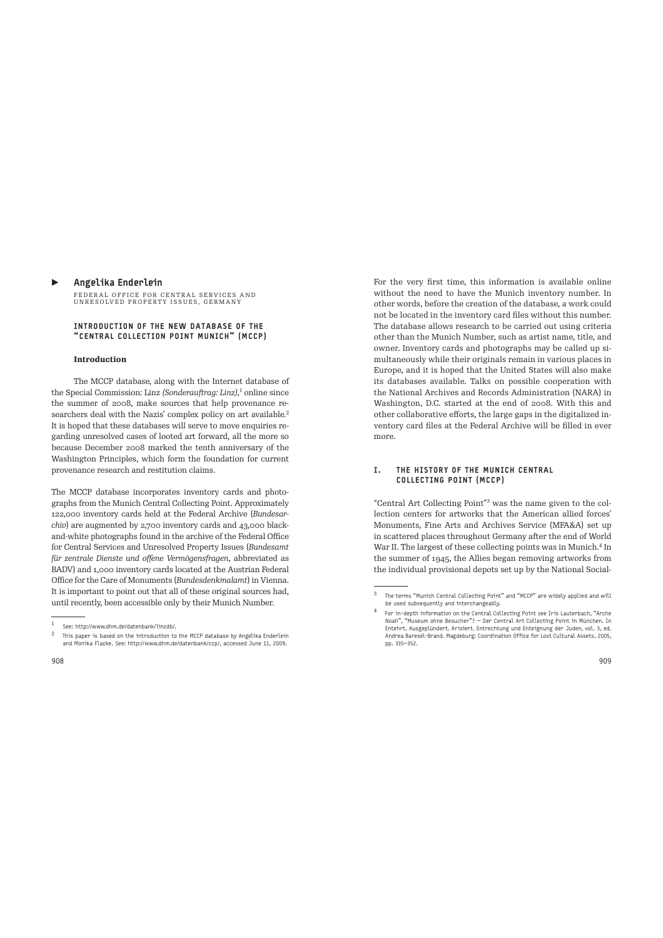#### ▶ Angelika Enderlein

FEDERAL OFFICE FOR CENTRAL SERVICES AND UNRESOLVED PROPERTY ISSUES, GERMANY

### INTRODUCTION OF THE NEW DATABASE OF THE "CENTRAL COLLECTION POINT MUNICH" (MCCP)

# **Introduction**

The MCCP database, along with the Internet database of the Special Commission: Linz *(Sonderauftrag: Linz)*,<sup>1</sup> online since the summer of 2008, make sources that help provenance researchers deal with the Nazis' complex policy on art available.<sup>2</sup> It is hoped that these databases will serve to move enquiries regarding unresolved cases of looted art forward, all the more so because December 2008 marked the tenth anniversary of the Washington Principles, which form the foundation for current provenance research and restitution claims.

The MCCP database incorporates inventory cards and photographs from the Munich Central Collecting Point. Approximately 122,000 inventory cards held at the Federal Archive (*Bundesarchiv*) are augmented by 2,700 inventory cards and 43,000 blackand-white photographs found in the archive of the Federal Office for Central Services and Unresolved Property Issues (*Bundesamt für zentrale Dienste und offene Vermögensfragen*, abbreviated as BADV) and 1,000 inventory cards located at the Austrian Federal Office for the Care of Monuments (*Bundesdenkmalamt*) in Vienna. It is important to point out that all of these original sources had, until recently, been accessible only by their Munich Number.

not be located in the inventory card files without this number. The database allows research to be carried out using criteria other than the Munich Number, such as artist name, title, and owner. Inventory cards and photographs may be called up simultaneously while their originals remain in various places in Europe, and it is hoped that the United States will also make its databases available. Talks on possible cooperation with the National Archives and Records Administration (NARA) in Washington, D.C. started at the end of 2008. With this and other collaborative efforts, the large gaps in the digitalized inventory card files at the Federal Archive will be filled in ever more.

For the very first time, this information is available online without the need to have the Munich inventory number. In other words, before the creation of the database, a work could

# I. THE HISTORY OF THE MUNICH CENTRAL COLLECTING POINT (MCCP)

"Central Art Collecting Point"<sup>3</sup> was the name given to the collection centers for artworks that the American allied forces' Monuments, Fine Arts and Archives Service (MFA&A) set up in scattered places throughout Germany afer the end of World War II. The largest of these collecting points was in Munich.<sup>4</sup> In the summer of 1945, the Allies began removing artworks from the individual provisional depots set up by the National Social-

See: http://www.dhm.de/datenbank/linzdb/.

 $2$  This paper is based on the introduction to the MCCP database by Angelika Enderlein and Monika Flacke. See: http://www.dhm.de/datenbank/ccp/, accessed June 11, 2009.

<sup>3</sup>The terms "Munich Central Collecting Point" and "MCCP" are widely applied and will be used subsequently and interchangeably.

<sup>4</sup>For in-depth information on the Central Collecting Point see Iris Lauterbach, "Arche Noah", "Museum ohne Besucher"? — Der Central Art Collecting Point in München. In Entehrt. Ausgeplündert. Arisiert. Entrechtung und Enteignung der Juden, vol. 3, ed. Andrea Baresel-Brand. Magdeburg: Coordination Office for Lost Cultural Assets, 2005, pp. 335—352.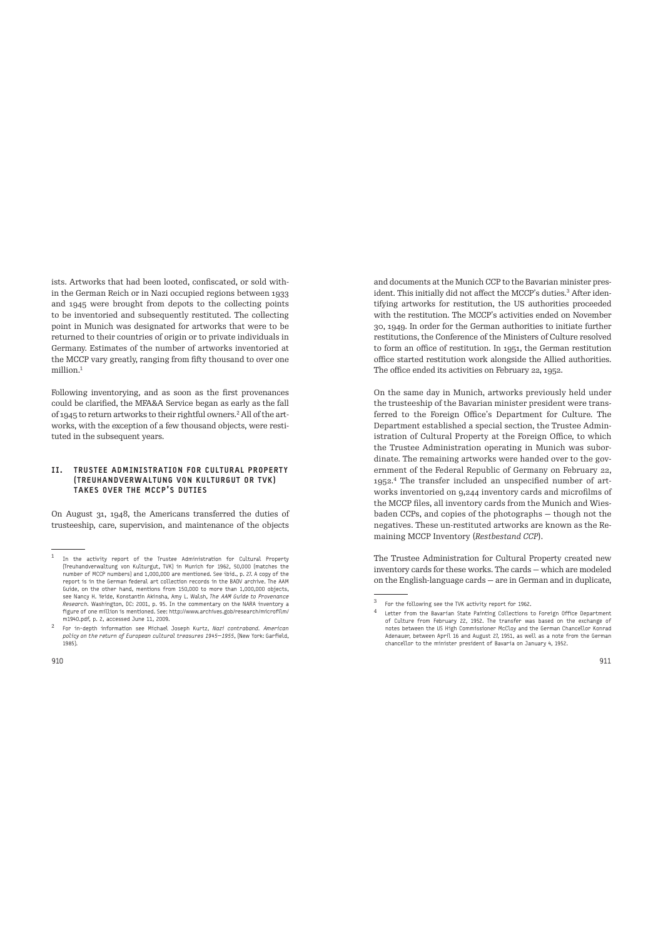ists. Artworks that had been looted, confiscated, or sold within the German Reich or in Nazi occupied regions between 1933 and 1945 were brought from depots to the collecting points to be inventoried and subsequently restituted. The collecting point in Munich was designated for artworks that were to be returned to their countries of origin or to private individuals in Germany. Estimates of the number of artworks inventoried at the MCCP vary greatly, ranging from fify thousand to over one million<sup>1</sup>

Following inventorying, and as soon as the first provenances could be clarified, the MFA&A Service began as early as the fall of 1945 to return artworks to their rightful owners.<sup>2</sup> All of the artworks, with the exception of a few thousand objects, were restituted in the subsequent years.

# II. TRUSTEE ADMINISTRATION FOR CULTURAL PROPERTY (TREUHANDVERWALTUNG VON KULTURGUT OR TVK) TAKES OVER THE MCCP'S DUTIES

On August 31, 1948, the Americans transferred the duties of trusteeship, care, supervision, and maintenance of the objects

and documents at the Munich CCP to the Bavarian minister president. This initially did not affect the MCCP's duties.<sup>3</sup> After identifying artworks for restitution, the US authorities proceeded with the restitution. The MCCP's activities ended on November 30, 1949. In order for the German authorities to initiate further restitutions, the Conference of the Ministers of Culture resolved to form an office of restitution. In 1951, the German restitution office started restitution work alongside the Allied authorities. The office ended its activities on February 22, 1952.

On the same day in Munich, artworks previously held under the trusteeship of the Bavarian minister president were transferred to the Foreign Office's Department for Culture. The Department established a special section, the Trustee Administration of Cultural Property at the Foreign Office, to which the Trustee Administration operating in Munich was subordinate. The remaining artworks were handed over to the government of the Federal Republic of Germany on February 22, 1952.<sup>4</sup> The transfer included an unspecified number of artworks inventoried on 9,244 inventory cards and microfilms of the MCCP files, all inventory cards from the Munich and Wiesbaden CCPs, and copies of the photographs — though not the negatives. These un-restituted artworks are known as the Remaining MCCP Inventory (*Restbestand CCP*).

The Trustee Administration for Cultural Property created new inventory cards for these works. The cards — which are modeled on the English-language cards — are in German and in duplicate,

 $^1$  In the activity report of the Trustee Administration for Cultural Property (Treuhandverwaltung von Kulturgut, TVK) in Munich for 1962, 50,000 (matches the number of MCCP numbers) and 1,000,000 are mentioned. See ibid., p. 27. A copy of the report is in the German federal art collection records in the BADV archive. The AAM Guide, on the other hand, mentions from 150,000 to more than 1,000,000 objects, see Nancy H. Yeide, Konstantin Akinsha, Amy L. Walsh, *The AAM Guide to Provenance Research.* Washington, DC: 2001, p. 95. In the commentary on the NARA inventory a figure of one million is mentioned. See: http://www.archives.gob/research/microfilm/ m1940.pdf, p. 2, accessed June 11, 2009.

<sup>2</sup>For in-depth information see Michael Joseph Kurtz, *Nazi contraband. American policy on the return of European cultural treasures 1945—1955*, (New York: Garfield, 1985).

 $\frac{3}{4}$  For the following see the TVK activity report for 1962.

Letter from the Bavarian State Painting Collections to Foreign Office Department of Culture from February 22, 1952. The transfer was based on the exchange of notes between the US High Commissioner McCloy and the German Chancellor Konrad Adenauer, between April 16 and August 27, 1951, as well as a note from the German chancellor to the minister president of Bavaria on January 4, 1952.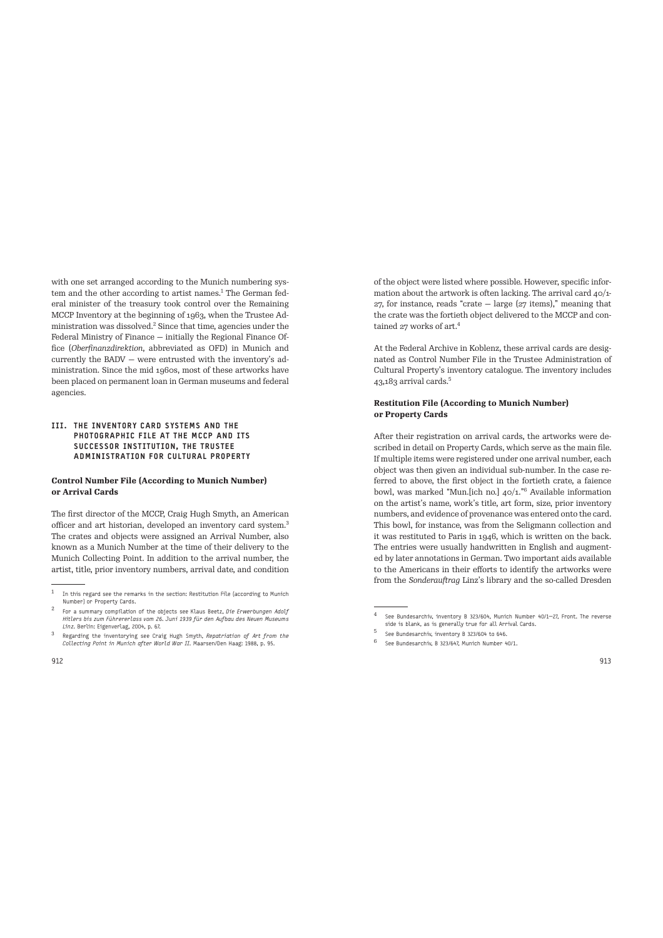with one set arranged according to the Munich numbering system and the other according to artist names.<sup>1</sup> The German federal minister of the treasury took control over the Remaining MCCP Inventory at the beginning of 1963, when the Trustee Administration was dissolved.<sup>2</sup> Since that time, agencies under the Federal Ministry of Finance — initially the Regional Finance Office (*Oberfinanzdirektion*, abbreviated as OFD) in Munich and currently the BADV — were entrusted with the inventory's administration. Since the mid 1960s, most of these artworks have been placed on permanent loan in German museums and federal agencies.

# III. THE INVENTORY CARD SYSTEMS AND THE PHOTOGRAPHIC FILE AT THE MCCP AND ITS SUCCESSOR INSTITUTION, THE TRUSTEE ADMINISTRATION FOR CULTURAL PROPERTY

#### **Control Number File (According to Munich Number) or Arrival Cards**

The first director of the MCCP, Craig Hugh Smyth, an American officer and art historian, developed an inventory card system.<sup>3</sup> The crates and objects were assigned an Arrival Number, also known as a Munich Number at the time of their delivery to the Munich Collecting Point. In addition to the arrival number, the artist, title, prior inventory numbers, arrival date, and condition of the object were listed where possible. However, specific information about the artwork is often lacking. The arrival card  $40/1$ -27, for instance, reads "crate — large (27 items)," meaning that the crate was the fortieth object delivered to the MCCP and contained 27 works of art.<sup>4</sup>

At the Federal Archive in Koblenz, these arrival cards are designated as Control Number File in the Trustee Administration of Cultural Property's inventory catalogue. The inventory includes 43,183 arrival cards.<sup>5</sup>

# **Restitution File (According to Munich Number) or Property Cards**

Afer their registration on arrival cards, the artworks were described in detail on Property Cards, which serve as the main file. If multiple items were registered under one arrival number, each object was then given an individual sub-number. In the case referred to above, the first object in the fortieth crate, a faience bowl, was marked "Mun.[ich no.] 40/1."<sup>6</sup> Available information on the artist's name, work's title, art form, size, prior inventory numbers, and evidence of provenance was entered onto the card. This bowl, for instance, was from the Seligmann collection and it was restituted to Paris in 1946, which is written on the back. The entries were usually handwritten in English and augmented by later annotations in German. Two important aids available to the Americans in their efforts to identify the artworks were from the *Sonderauftrag* Linz's library and the so-called Dresden

 $1$  In this regard see the remarks in the section: Restitution File (according to Munich Number) or Property Cards.

<sup>2</sup>For a summary compilation of the objects see Klaus Beetz, *Die Erwerbungen Adolf Hitlers bis zum Führererlass vom 26. Juni 1939 für den Aufbau des Neuen Museums Linz.* Berlin: Eigenverlag, 2004, p. 67.

<sup>3</sup>Regarding the inventorying see Craig Hugh Smyth, *Repatriation of Art from the Collecting Point in Munich after World War II.* Maarsen/Den Haag: 1988, p. 95.

 $4$  See Bundesarchiv, inventory B 323/604, Munich Number 40/1-27, Front. The reverse side is blank, as is generally true for all Arrival Cards.

See Bundesarchiv, inventory B 323/604 to 646.

 $6$  See Bundesarchiv, B 323/647, Munich Number 40/1.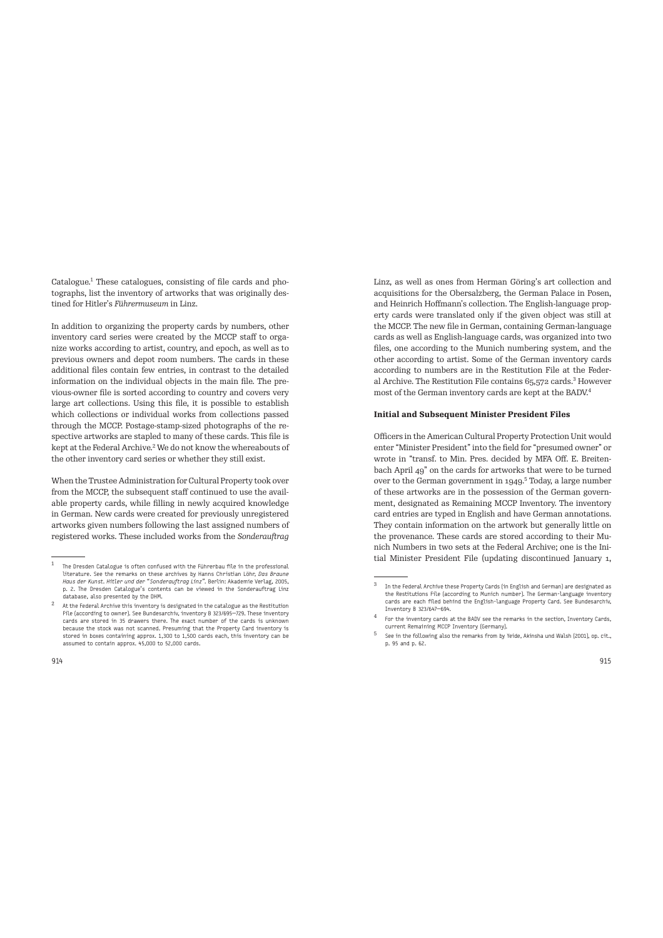Catalogue.<sup>1</sup> These catalogues, consisting of file cards and photographs, list the inventory of artworks that was originally destined for Hitler's *Führermuseum* in Linz.

In addition to organizing the property cards by numbers, other inventory card series were created by the MCCP staff to organize works according to artist, country, and epoch, as well as to previous owners and depot room numbers. The cards in these additional files contain few entries, in contrast to the detailed information on the individual objects in the main file. The previous-owner file is sorted according to country and covers very large art collections. Using this file, it is possible to establish which collections or individual works from collections passed through the MCCP. Postage-stamp-sized photographs of the respective artworks are stapled to many of these cards. This file is kept at the Federal Archive.<sup>2</sup> We do not know the whereabouts of the other inventory card series or whether they still exist.

When the Trustee Administration for Cultural Property took over from the MCCP, the subsequent staff continued to use the available property cards, while filling in newly acquired knowledge in German. New cards were created for previously unregistered artworks given numbers following the last assigned numbers of registered works. These included works from the *Sonderauftrag*  Linz, as well as ones from Herman Göring's art collection and acquisitions for the Obersalzberg, the German Palace in Posen, and Heinrich Hoffmann's collection. The English-language property cards were translated only if the given object was still at the MCCP. The new file in German, containing German-language cards as well as English-language cards, was organized into two files, one according to the Munich numbering system, and the other according to artist. Some of the German inventory cards according to numbers are in the Restitution File at the Federal Archive. The Restitution File contains 65,572 cards.<sup>3</sup> However most of the German inventory cards are kept at the BADV.<sup>4</sup>

#### **Initial and Subsequent Minister President Files**

Officers in the American Cultural Property Protection Unit would enter "Minister President" into the field for "presumed owner" or wrote in "transf. to Min. Pres. decided by MFA Off. E. Breitenbach April 49" on the cards for artworks that were to be turned over to the German government in 1949.<sup>5</sup> Today, a large number of these artworks are in the possession of the German government, designated as Remaining MCCP Inventory. The inventory card entries are typed in English and have German annotations. They contain information on the artwork but generally little on the provenance. These cards are stored according to their Munich Numbers in two sets at the Federal Archive; one is the Initial Minister President File (updating discontinued January 1,

 $1$  The Dresden Catalogue is often confused with the Führerbau file in the professional literature. See the remarks on these archives by Hanns Christian Löhr, *Das Braune Haus der Kunst. Hitler und der "Sonderauftrag Linz".* Berlin: Akademie Verlag, 2005, p. 2. The Dresden Catalogue's contents can be viewed in the Sonderauftrag Linz database, also presented by the DHM.

<sup>2</sup>At the Federal Archive this inventory is designated in the catalogue as the Restitution File (according to owner). See Bundesarchiv, inventory B 323/695—729. These inventory cards are stored in 35 drawers there. The exact number of the cards is unknown because the stock was not scanned. Presuming that the Property Card inventory is stored in boxes containing approx. 1,300 to 1,500 cards each, this inventory can be assumed to contain approx. 45,000 to 52,000 cards.

 $^3$  In the Federal Archive these Property Cards (in English and German) are designated as the Restitutions File (according to Munich number). The German-language inventory cards are each filed behind the English-language Property Card. See Bundesarchiv, Inventory B 323/647—694.

<sup>4</sup>For the inventory cards at the BADV see the remarks in the section, Inventory Cards, current Remaining MCCP Inventory (Germany).

<sup>5</sup>See in the following also the remarks from by Yeide, Akinsha und Walsh (2001), op. cit., p. 95 and p. 62.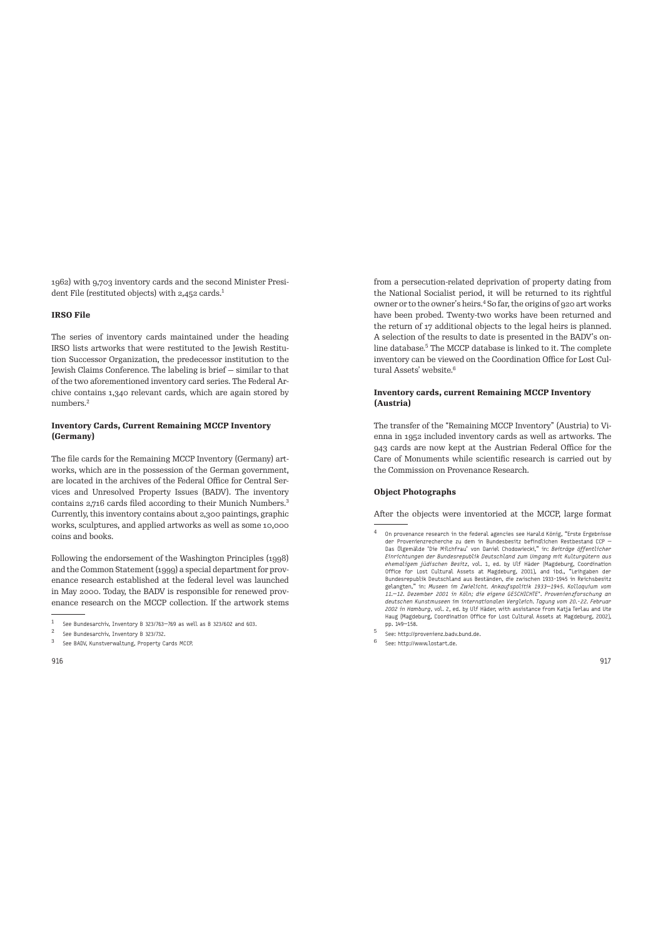1962) with 9,703 inventory cards and the second Minister President File (restituted objects) with 2,452 cards.<sup>1</sup>

## **IRSO File**

The series of inventory cards maintained under the heading IRSO lists artworks that were restituted to the Jewish Restitution Successor Organization, the predecessor institution to the Jewish Claims Conference. The labeling is brief — similar to that of the two aforementioned inventory card series. The Federal Archive contains 1,340 relevant cards, which are again stored by numbers.<sup>2</sup>

# **Inventory Cards, Current Remaining MCCP Inventory (Germany)**

The file cards for the Remaining MCCP Inventory (Germany) artworks, which are in the possession of the German government, are located in the archives of the Federal Office for Central Services and Unresolved Property Issues (BADV). The inventory contains 2,716 cards filed according to their Munich Numbers.<sup>3</sup> Currently, this inventory contains about 2,300 paintings, graphic works, sculptures, and applied artworks as well as some 10,000 coins and books.

Following the endorsement of the Washington Principles (1998) and the Common Statement (1999) a special department for provenance research established at the federal level was launched in May 2000. Today, the BADV is responsible for renewed provenance research on the MCCP collection. If the artwork stems from a persecution-related deprivation of property dating from the National Socialist period, it will be returned to its rightful owner or to the owner's heirs.<sup>4</sup> So far, the origins of 920 art works have been probed. Twenty-two works have been returned and the return of 17 additional objects to the legal heirs is planned. A selection of the results to date is presented in the BADV's online database.<sup>5</sup> The MCCP database is linked to it. The complete inventory can be viewed on the Coordination Office for Lost Cultural Assets' website.<sup>6</sup>

# **Inventory cards, current Remaining MCCP Inventory (Austria)**

The transfer of the "Remaining MCCP Inventory" (Austria) to Vienna in 1952 included inventory cards as well as artworks. The 943 cards are now kept at the Austrian Federal Office for the Care of Monuments while scientific research is carried out by the Commission on Provenance Research.

#### **Object Photographs**

Afer the objects were inventoried at the MCCP, large format

- <sup>4</sup> On provenance research in the federal agencies see Harald König, "Erste Ergebnisse<br>der Provenienzrecherche zu dem in Bundesbesitz befindlichen Restbestand CCP<br>Das Ölgemälde 'Die Milchfrau' von Daniel Chodowiecki," in: *Einrichtungen der Bundesrepublik Deutschland zum Umgang mit Kulturgütern aus ehemaligem jüdischen Besitz*, vol. 1, ed. by Ulf Häder (Magdeburg, Coordination<br>Office for Lost Cultural Assets at Magdeburg, 2001), and ibd., "Leihgaben der<br>Bundesrepublik Deutschland aus Beständen, die zwischen 1933-194 gelangten," in: *Museen im Zwielicht. Ankaufspolitik 1933—1945. Kolloquium vom 11.—12. Dezember 2001 in Köln; die eigene GESCHICHTE\*. Provenienzforschung an*  deutschen Kunstmuseen im internationalen Vergleich. Tagung vom 20.-22. Februar<br>2002 in Hamburg, vol. 2, ed. by Ulf Häder, with assistance from Katja Terlau and Ute<br>Haug (Magdeburg, Coordination Office for Lost Cultural Ass pp. 149—158.
- 5 See: http://provenienz.badv.bund.de.
- <sup>6</sup>See: http://www.lostart.de.

<sup>&</sup>lt;sup>1</sup> See Bundesarchiv, Inventory B 323/763-769 as well as B 323/602 and 603.

See Bundesarchiv, Inventory B 323/732.

See BADV, Kunstverwaltung, Property Cards MCCP.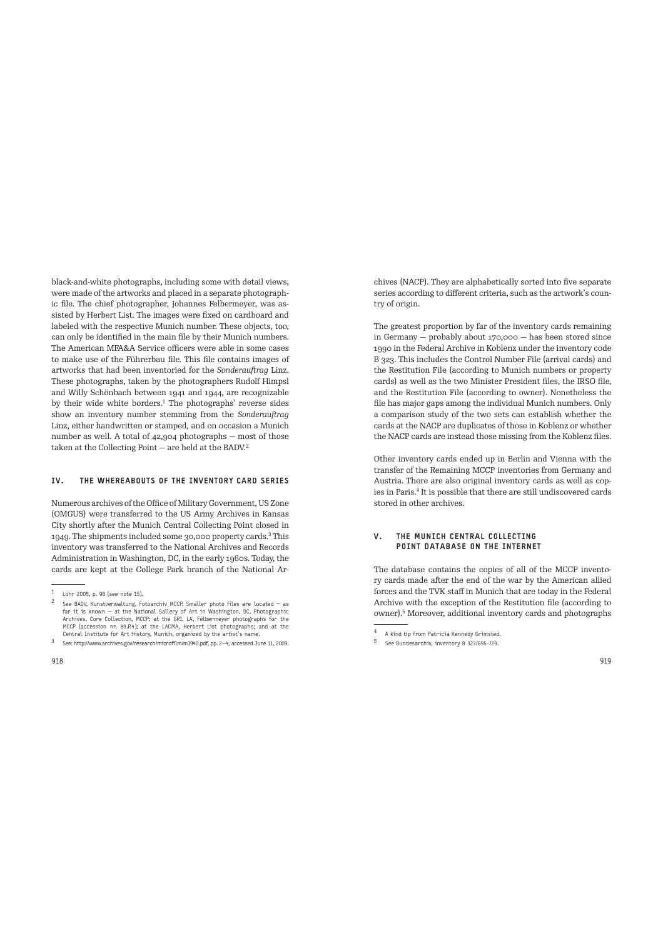black-and-white photographs, including some with detail views, were made of the artworks and placed in a separate photographic file. The chief photographer, Johannes Felbermeyer, was assisted by Herbert List. The images were fixed on cardboard and labeled with the respective Munich number. These objects, too, can only be identified in the main file by their Munich numbers. The American MFA&A Service officers were able in some cases to make use of the Führerbau file. This file contains images of artworks that had been inventoried for the *Sonderauftrag* Linz. These photographs, taken by the photographers Rudolf Himpsl and Willy Schönbach between 1941 and 1944, are recognizable by their wide white borders.<sup>1</sup> The photographs' reverse sides show an inventory number stemming from the *Sonderauftrag* Linz, either handwritten or stamped, and on occasion a Munich number as well. A total of 42,904 photographs — most of those taken at the Collecting Point - are held at the BADV.<sup>2</sup>

#### IV. THE WHEREABOUTS OF THE INVENTORY CARD SERIES

Numerous archives of the Office of Military Government, US Zone (OMGUS) were transferred to the US Army Archives in Kansas City shortly afer the Munich Central Collecting Point closed in 1949. The shipments included some 30,000 property cards.<sup>3</sup> This inventory was transferred to the National Archives and Records Administration in Washington, DC, in the early 1960s. Today, the cards are kept at the College Park branch of the National Archives (NACP). They are alphabetically sorted into five separate series according to different criteria, such as the artwork's country of origin.

The greatest proportion by far of the inventory cards remaining in Germany — probably about 170,000 — has been stored since 1990 in the Federal Archive in Koblenz under the inventory code B 323. This includes the Control Number File (arrival cards) and the Restitution File (according to Munich numbers or property cards) as well as the two Minister President files, the IRSO file, and the Restitution File (according to owner). Nonetheless the file has major gaps among the individual Munich numbers. Only a comparison study of the two sets can establish whether the cards at the NACP are duplicates of those in Koblenz or whether the NACP cards are instead those missing from the Koblenz files.

Other inventory cards ended up in Berlin and Vienna with the transfer of the Remaining MCCP inventories from Germany and Austria. There are also original inventory cards as well as copies in Paris.<sup>4</sup> It is possible that there are still undiscovered cards stored in other archives.

# V. THE MUNICH CENTRAL COLLECTING POINT DATABASE ON THE INTERNET

The database contains the copies of all of the MCCP inventory cards made afer the end of the war by the American allied forces and the TVK staff in Munich that are today in the Federal Archive with the exception of the Restitution file (according to owner).<sup>5</sup> Moreover, additional inventory cards and photographs

<sup>1</sup> Löhr 2005, p. 96 (see note 15).

See BADV, Kunstverwaltung, Fotoarchiv MCCP. Smaller photo files are located  $-$  as far it is known — at the National Gallery of Art in Washington, DC, Photographic Archives, Core Collection, MCCP; at the GRI, LA, Felbermeyer photographs for the MCCP (accession nr. 89.P.4); at the LACMA, Herbert List photographs; and at the Central Institute for Art History, Munich, organized by the artist's name.

<sup>3</sup>See: http://www.archives.gov/research/microfilm/m1940.pdf, pp. 2—4, accessed June 11, 2009.

<sup>4</sup> A kind tip from Patricia Kennedy Grimsted.<br>5 Sep Bundesprehiv inventory B 322/605-720

See Bundesarchiv, inventory B 323/695-729.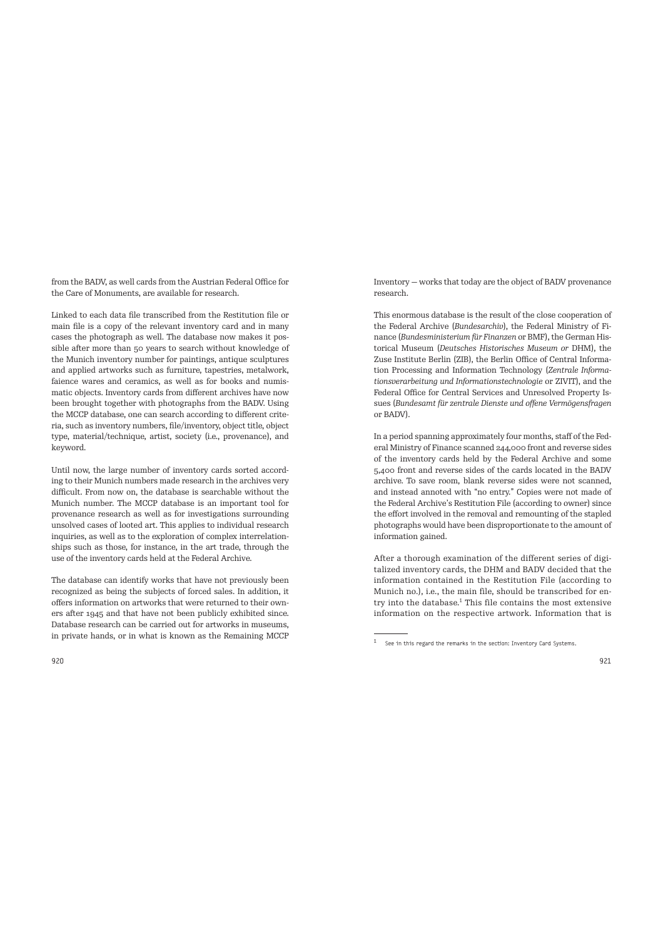from the BADV, as well cards from the Austrian Federal Office for the Care of Monuments, are available for research.

Linked to each data file transcribed from the Restitution file or main file is a copy of the relevant inventory card and in many cases the photograph as well. The database now makes it possible after more than 50 years to search without knowledge of the Munich inventory number for paintings, antique sculptures and applied artworks such as furniture, tapestries, metalwork, faience wares and ceramics, as well as for books and numismatic objects. Inventory cards from different archives have now been brought together with photographs from the BADV. Using the MCCP database, one can search according to different criteria, such as inventory numbers, file/inventory, object title, object type, material/technique, artist, society (i.e., provenance), and keyword.

Until now, the large number of inventory cards sorted according to their Munich numbers made research in the archives very difficult. From now on, the database is searchable without the Munich number. The MCCP database is an important tool for provenance research as well as for investigations surrounding unsolved cases of looted art. This applies to individual research inquiries, as well as to the exploration of complex interrelationships such as those, for instance, in the art trade, through the use of the inventory cards held at the Federal Archive.

The database can identify works that have not previously been recognized as being the subjects of forced sales. In addition, it offers information on artworks that were returned to their owners afer 1945 and that have not been publicly exhibited since. Database research can be carried out for artworks in museums, in private hands, or in what is known as the Remaining MCCP

Inventory — works that today are the object of BADV provenance research.

This enormous database is the result of the close cooperation of the Federal Archive (*Bundesarchiv*), the Federal Ministry of Finance (*Bundesministerium für Finanzen* or BMF), the German Historical Museum (*Deutsches Historisches Museum or* DHM), the Zuse Institute Berlin (ZIB), the Berlin Office of Central Information Processing and Information Technology (*Zentrale Informationsverarbeitung und Informationstechnologie* or ZIVIT), and the Federal Office for Central Services and Unresolved Property Issues (*Bundesamt für zentrale Dienste und offene Vermögensfragen* or BADV).

In a period spanning approximately four months, staff of the Federal Ministry of Finance scanned 244,000 front and reverse sides of the inventory cards held by the Federal Archive and some 5,400 front and reverse sides of the cards located in the BADV archive. To save room, blank reverse sides were not scanned, and instead annoted with "no entry." Copies were not made of the Federal Archive's Restitution File (according to owner) since the effort involved in the removal and remounting of the stapled photographs would have been disproportionate to the amount of information gained.

After a thorough examination of the different series of digitalized inventory cards, the DHM and BADV decided that the information contained in the Restitution File (according to Munich no.), i.e., the main file, should be transcribed for entry into the database.<sup>1</sup> This file contains the most extensive information on the respective artwork. Information that is

 $1$  See in this regard the remarks in the section: Inventory Card Systems.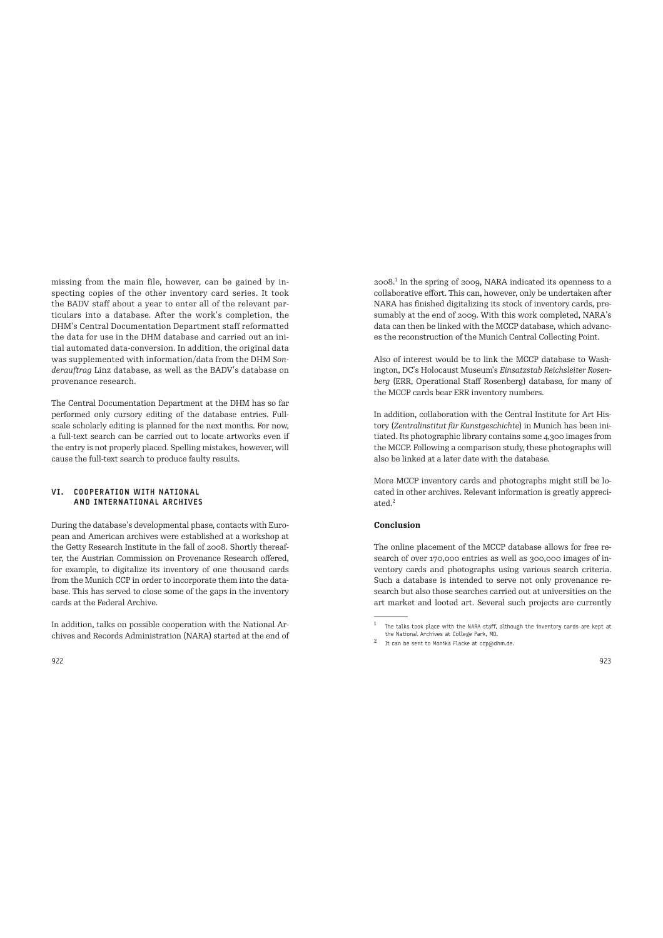missing from the main file, however, can be gained by inspecting copies of the other inventory card series. It took the BADV staff about a year to enter all of the relevant particulars into a database. After the work's completion, the DHM's Central Documentation Department staff reformatted the data for use in the DHM database and carried out an initial automated data-conversion. In addition, the original data was supplemented with information/data from the DHM *Sonderauftrag* Linz database, as well as the BADV's database on provenance research.

The Central Documentation Department at the DHM has so far performed only cursory editing of the database entries. Fullscale scholarly editing is planned for the next months. For now, a full-text search can be carried out to locate artworks even if the entry is not properly placed. Spelling mistakes, however, will cause the full-text search to produce faulty results.

# VI. COOPERATION WITH NATIONAL AND INTERNATIONAL ARCHIVES

During the database's developmental phase, contacts with European and American archives were established at a workshop at the Getty Research Institute in the fall of 2008. Shortly thereafter, the Austrian Commission on Provenance Research offered, for example, to digitalize its inventory of one thousand cards from the Munich CCP in order to incorporate them into the database. This has served to close some of the gaps in the inventory cards at the Federal Archive.

In addition, talks on possible cooperation with the National Archives and Records Administration (NARA) started at the end of

2008.<sup>1</sup> In the spring of 2009, NARA indicated its openness to a collaborative effort. This can, however, only be undertaken afer NARA has finished digitalizing its stock of inventory cards, presumably at the end of 2009. With this work completed, NARA's data can then be linked with the MCCP database, which advances the reconstruction of the Munich Central Collecting Point.

Also of interest would be to link the MCCP database to Washington, DC's Holocaust Museum's *Einsatzstab Reichsleiter Rosenberg* (ERR, Operational Staff Rosenberg) database, for many of the MCCP cards bear ERR inventory numbers.

In addition, collaboration with the Central Institute for Art History (*Zentralinstitut für Kunstgeschichte*) in Munich has been initiated. Its photographic library contains some 4,300 images from the MCCP. Following a comparison study, these photographs will also be linked at a later date with the database.

More MCCP inventory cards and photographs might still be located in other archives. Relevant information is greatly appreciated.<sup>2</sup>

#### **Conclusion**

The online placement of the MCCP database allows for free research of over 170,000 entries as well as 300,000 images of inventory cards and photographs using various search criteria. Such a database is intended to serve not only provenance research but also those searches carried out at universities on the art market and looted art. Several such projects are currently

<sup>1</sup>The talks took place with the NARA staff, although the inventory cards are kept at the National Archives at College Park, MD.

<sup>2</sup>It can be sent to Monika Flacke at ccp@dhm.de.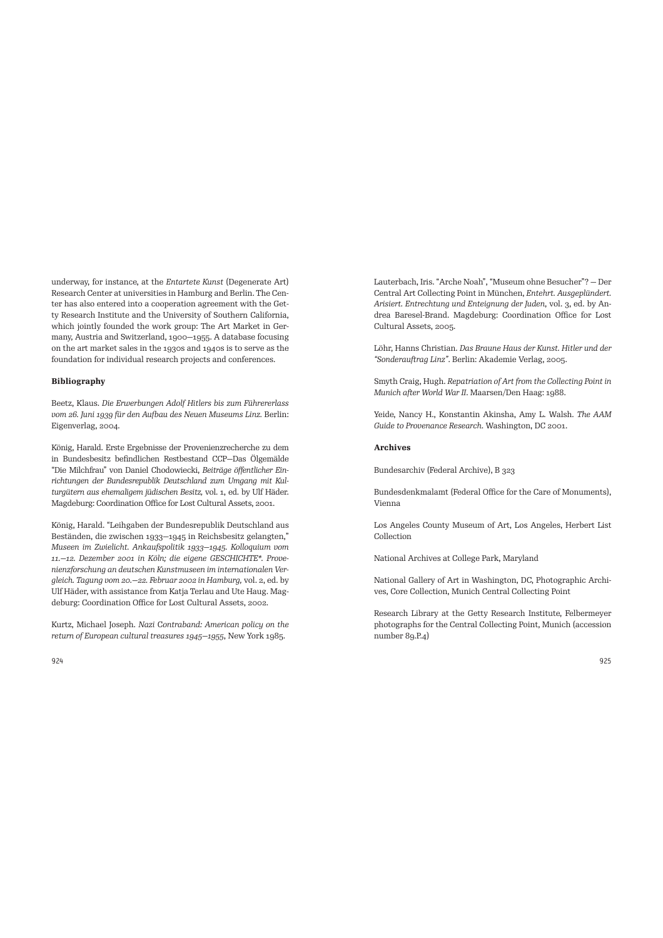underway, for instance, at the *Entartete Kunst* (Degenerate Art) Research Center at universities in Hamburg and Berlin. The Center has also entered into a cooperation agreement with the Getty Research Institute and the University of Southern California, which jointly founded the work group: The Art Market in Germany, Austria and Switzerland, 1900—1955. A database focusing on the art market sales in the 1930s and 1940s is to serve as the foundation for individual research projects and conferences.

# **Bibliography**

Beetz, Klaus. *Die Erwerbungen Adolf Hitlers bis zum Führererlass*  vom 26. Juni 1939 für den Aufbau des Neuen Museums Linz. Berlin: Eigenverlag, 2004.

König, Harald. Erste Ergebnisse der Provenienzrecherche zu dem in Bundesbesitz befindlichen Restbestand CCP—Das Ölgemälde "Die Milchfrau" von Daniel Chodowiecki, *Beiträge öffentlicher Einrichtungen der Bundesrepublik Deutschland zum Umgang mit Kulturgütern aus ehemaligem jüdischen Besitz,* vol. 1, ed. by Ulf Häder. Magdeburg: Coordination Office for Lost Cultural Assets, 2001.

König, Harald. "Leihgaben der Bundesrepublik Deutschland aus Beständen, die zwischen 1933—1945 in Reichsbesitz gelangten," *Museen im Zwielicht. Ankaufspolitik 1933—1945. Kolloquium vom 11.—12. Dezember 2001 in Köln; die eigene GESCHICHTE\*. Provenienzforschung an deutschen Kunstmuseen im internationalen Vergleich. Tagung vom 20.—22. Februar 2002 in Hamburg,* vol. 2, ed. by Ulf Häder, with assistance from Katia Terlau and Ute Haug. Magdeburg: Coordination Office for Lost Cultural Assets, 2002.

Kurtz, Michael Joseph. *Nazi* C*ontraband: American policy on the return of European cultural treasures 1945—1955*, New York 1985.

Lauterbach, Iris. "Arche Noah", "Museum ohne Besucher"? — Der Central Art Collecting Point in München, *Entehrt. Ausgeplündert. Arisiert. Entrechtung und Enteignung der Juden*, vol. 3, ed. by Andrea Baresel-Brand. Magdeburg: Coordination Office for Lost Cultural Assets, 2005.

Löhr, Hanns Christian. *Das Braune Haus der Kunst. Hitler und der "Sonderau)rag Linz"*. Berlin: Akademie Verlag, 2005.

Smyth Craig, Hugh. *Repatriation of Art from the Collecting Point in Munich after World War II. Maarsen/Den Haag: 1988.* 

Yeide, Nancy H., Konstantin Akinsha, Amy L. Walsh. *The AAM Guide to Provenance Research*. Washington, DC 2001.

#### **Archives**

Bundesarchiv (Federal Archive), B 323

Bundesdenkmalamt (Federal Office for the Care of Monuments), Vienna

Los Angeles County Museum of Art, Los Angeles, Herbert List Collection

National Archives at College Park, Maryland

National Gallery of Art in Washington, DC, Photographic Archives, Core Collection, Munich Central Collecting Point

Research Library at the Getty Research Institute, Felbermeyer photographs for the Central Collecting Point, Munich (accession number 89.P.4)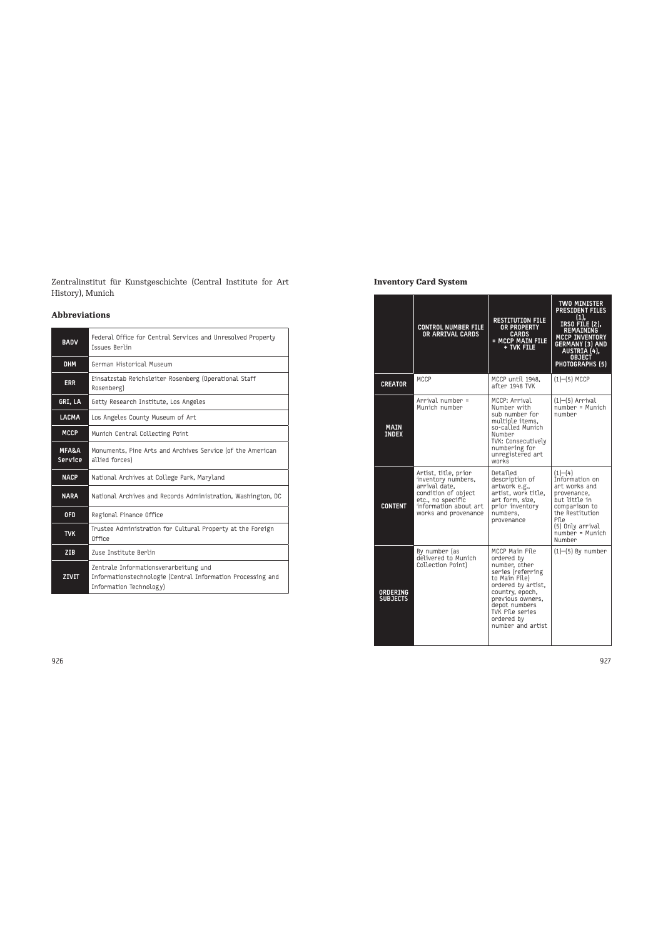Zentralinstitut für Kunstgeschichte (Central Institute for Art History), Munich

# **Abbreviations**

| <b>BADV</b>                 | Federal Office for Central Services and Unresolved Property<br><b>Issues Berlin</b>                                             |  |  |
|-----------------------------|---------------------------------------------------------------------------------------------------------------------------------|--|--|
| <b>DHM</b>                  | German Historical Museum                                                                                                        |  |  |
| <b>ERR</b>                  | Einsatzstab Reichsleiter Rosenberg (Operational Staff<br>Rosenberg)                                                             |  |  |
| GRI, LA                     | Getty Research Institute, Los Angeles                                                                                           |  |  |
| <b>LACMA</b>                | Los Angeles County Museum of Art                                                                                                |  |  |
| <b>MCCP</b>                 | Munich Central Collecting Point                                                                                                 |  |  |
| <b>MFA&amp;A</b><br>Service | Monuments, Fine Arts and Archives Service (of the American<br>allied forces)                                                    |  |  |
| <b>NACP</b>                 | National Archives at College Park, Maryland                                                                                     |  |  |
| <b>NARA</b>                 | National Archives and Records Administration, Washington, DC                                                                    |  |  |
| <b>OFD</b>                  | Regional Finance Office                                                                                                         |  |  |
| <b>TVK</b>                  | Trustee Administration for Cultural Property at the Foreign<br>Office                                                           |  |  |
| ZIB                         | Zuse Institute Berlin                                                                                                           |  |  |
| <b>ZIVIT</b>                | Zentrale Informationsverarbeitung und<br>Informationstechnologie (Central Information Processing and<br>Information Technology) |  |  |

# **Inventory Card System**

|                             | <b>CONTROL NUMBER FILE</b><br>OR ARRIVAL CARDS                                                                                                           | <b>RESTITUTION FILE</b><br><b>OR PROPERTY</b><br><b>CARDS</b><br>= MCCP MAIN FILE<br>+ TVK FILE                                                                                                                          | TWO MINISTER<br><b>PRESIDENT FILES</b><br>(1).<br>IRSO FILE (2),<br><b>REMAINING</b><br><b>MCCP INVENTORY</b><br><b>GERMANY (3) AND</b><br>AUSTRIA (4),<br><b>OBJECT</b><br>PHOTOGRAPHS (5) |
|-----------------------------|----------------------------------------------------------------------------------------------------------------------------------------------------------|--------------------------------------------------------------------------------------------------------------------------------------------------------------------------------------------------------------------------|---------------------------------------------------------------------------------------------------------------------------------------------------------------------------------------------|
| <b>CREATOR</b>              | MCCP                                                                                                                                                     | MCCP until 1948.<br>after 1948 TVK                                                                                                                                                                                       | $(1)$ - $(5)$ MCCP                                                                                                                                                                          |
| <b>MAIN</b><br><b>INDEX</b> | Arrival number =<br>Munich number                                                                                                                        | MCCP: Arrival<br>Number with<br>sub number for<br>multiple items.<br>so-called Munich<br>Number<br>TVK: Consecutively<br>numbering for<br>unregistered art<br>works                                                      | $(1)$ - $(5)$ Arrival<br>number = Munich<br>number                                                                                                                                          |
| <b>CONTENT</b>              | Artist, title, prior<br>inventory numbers,<br>arrival date.<br>condition of object<br>etc., no specific<br>information about art<br>works and provenance | Detailed<br>description of<br>artwork e.g.,<br>artist. work title.<br>art form, size,<br>prior inventory<br>numbers.<br>provenance                                                                                       | (1)–(4)<br>Information on<br>art works and<br>provenance.<br>but little in<br>comparison to<br>the Restitution<br>File<br>(5) Only arrival<br>$number = Munich$<br>Number                   |
| ORDERING<br><b>SUBJECTS</b> | By number (as<br>delivered to Munich<br>Collection Point)                                                                                                | MCCP Main File<br>ordered bv<br>number, other<br>series (referring<br>to Main File)<br>ordered by artist,<br>country, epoch,<br>previous owners,<br>depot numbers<br>TVK File series<br>ordered by<br>number and artist. | $(1)$ - $(5)$ By number                                                                                                                                                                     |